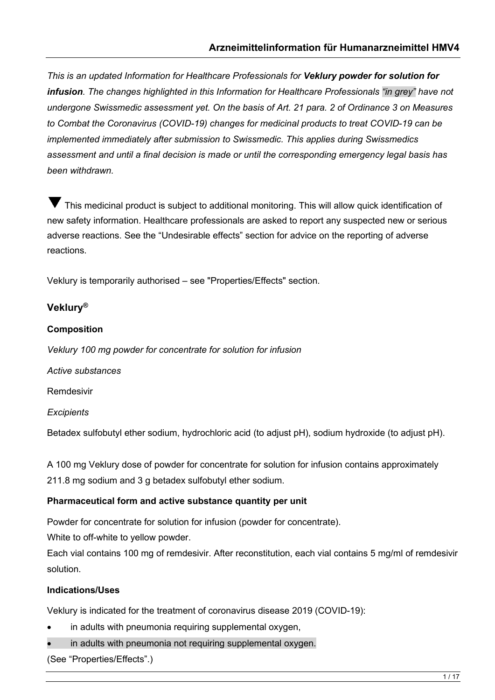*This is an updated Information for Healthcare Professionals for Veklury powder for solution for infusion. The changes highlighted in this Information for Healthcare Professionals "in grey" have not undergone Swissmedic assessment yet. On the basis of Art. 21 para. 2 of Ordinance 3 on Measures to Combat the Coronavirus (COVID-19) changes for medicinal products to treat COVID-19 can be implemented immediately after submission to Swissmedic. This applies during Swissmedics assessment and until a final decision is made or until the corresponding emergency legal basis has been withdrawn.* 

This medicinal product is subject to additional monitoring. This will allow quick identification of new safety information. Healthcare professionals are asked to report any suspected new or serious adverse reactions. See the "Undesirable effects" section for advice on the reporting of adverse reactions.

Veklury is temporarily authorised – see "Properties/Effects" section.

# **Veklury®**

## **Composition**

*Veklury 100 mg powder for concentrate for solution for infusion*

*Active substances*

Remdesivir

*Excipients*

Betadex sulfobutyl ether sodium, hydrochloric acid (to adjust pH), sodium hydroxide (to adjust pH).

A 100 mg Veklury dose of powder for concentrate for solution for infusion contains approximately 211.8 mg sodium and 3 g betadex sulfobutyl ether sodium.

## **Pharmaceutical form and active substance quantity per unit**

Powder for concentrate for solution for infusion (powder for concentrate).

White to off-white to yellow powder.

Each vial contains 100 mg of remdesivir. After reconstitution, each vial contains 5 mg/ml of remdesivir solution.

## **Indications/Uses**

Veklury is indicated for the treatment of coronavirus disease 2019 (COVID-19):

- in adults with pneumonia requiring supplemental oxygen,
- in adults with pneumonia not requiring supplemental oxygen.

(See "Properties/Effects".)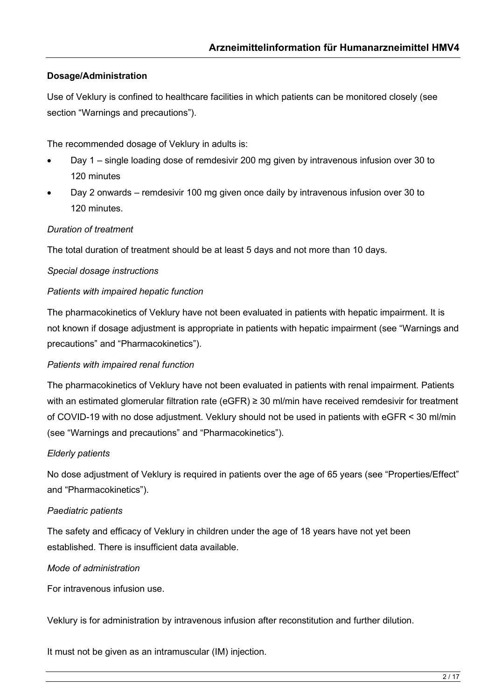# **Dosage/Administration**

Use of Veklury is confined to healthcare facilities in which patients can be monitored closely (see section "Warnings and precautions").

The recommended dosage of Veklury in adults is:

- Day 1 single loading dose of remdesivir 200 mg given by intravenous infusion over 30 to 120 minutes
- Day 2 onwards remdesivir 100 mg given once daily by intravenous infusion over 30 to 120 minutes.

#### *Duration of treatment*

The total duration of treatment should be at least 5 days and not more than 10 days.

#### *Special dosage instructions*

#### *Patients with impaired hepatic function*

The pharmacokinetics of Veklury have not been evaluated in patients with hepatic impairment. It is not known if dosage adjustment is appropriate in patients with hepatic impairment (see "Warnings and precautions" and "Pharmacokinetics").

#### *Patients with impaired renal function*

The pharmacokinetics of Veklury have not been evaluated in patients with renal impairment. Patients with an estimated glomerular filtration rate (eGFR) ≥ 30 ml/min have received remdesivir for treatment of COVID-19 with no dose adjustment. Veklury should not be used in patients with eGFR < 30 ml/min (see "Warnings and precautions" and "Pharmacokinetics").

#### *Elderly patients*

No dose adjustment of Veklury is required in patients over the age of 65 years (see "Properties/Effect" and "Pharmacokinetics").

#### *Paediatric patients*

The safety and efficacy of Veklury in children under the age of 18 years have not yet been established. There is insufficient data available.

#### *Mode of administration*

For intravenous infusion use.

Veklury is for administration by intravenous infusion after reconstitution and further dilution.

It must not be given as an intramuscular (IM) injection.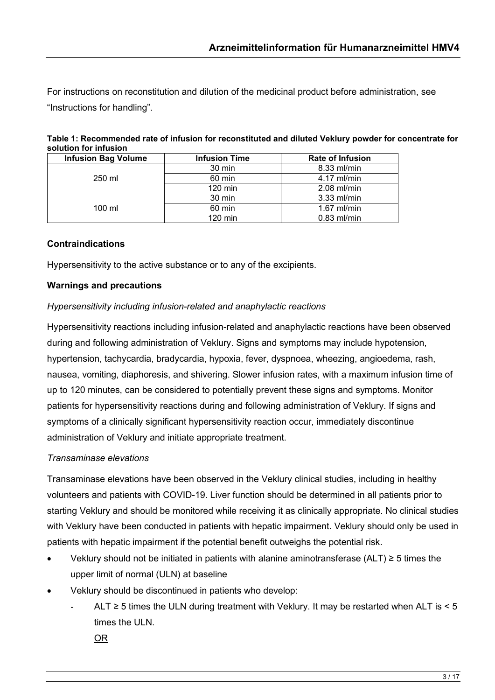For instructions on reconstitution and dilution of the medicinal product before administration, see "Instructions for handling".

| <b>Infusion Bag Volume</b> | <b>Infusion Time</b> | <b>Rate of Infusion</b> |  |
|----------------------------|----------------------|-------------------------|--|
|                            | 30 min               | 8.33 ml/min             |  |
| 250 ml                     | 60 min               | $4.17$ ml/min           |  |
|                            | $120$ min            | $2.08$ ml/min           |  |
|                            | 30 min               | $3.33$ ml/min           |  |
| $100 \mathrm{m}$           | 60 min               | $1.67$ ml/min           |  |
|                            | $120$ min            | $0.83$ ml/min           |  |

| Table 1: Recommended rate of infusion for reconstituted and diluted Veklury powder for concentrate for |  |  |
|--------------------------------------------------------------------------------------------------------|--|--|
| solution for infusion                                                                                  |  |  |
|                                                                                                        |  |  |

#### **Contraindications**

Hypersensitivity to the active substance or to any of the excipients.

#### **Warnings and precautions**

#### *Hypersensitivity including infusion-related and anaphylactic reactions*

Hypersensitivity reactions including infusion-related and anaphylactic reactions have been observed during and following administration of Veklury. Signs and symptoms may include hypotension, hypertension, tachycardia, bradycardia, hypoxia, fever, dyspnoea, wheezing, angioedema, rash, nausea, vomiting, diaphoresis, and shivering. Slower infusion rates, with a maximum infusion time of up to 120 minutes, can be considered to potentially prevent these signs and symptoms. Monitor patients for hypersensitivity reactions during and following administration of Veklury. If signs and symptoms of a clinically significant hypersensitivity reaction occur, immediately discontinue administration of Veklury and initiate appropriate treatment.

#### *Transaminase elevations*

Transaminase elevations have been observed in the Veklury clinical studies, including in healthy volunteers and patients with COVID-19. Liver function should be determined in all patients prior to starting Veklury and should be monitored while receiving it as clinically appropriate. No clinical studies with Veklury have been conducted in patients with hepatic impairment. Veklury should only be used in patients with hepatic impairment if the potential benefit outweighs the potential risk.

- Veklury should not be initiated in patients with alanine aminotransferase (ALT) ≥ 5 times the upper limit of normal (ULN) at baseline
- Veklury should be discontinued in patients who develop:
	- ALT  $\geq$  5 times the ULN during treatment with Veklury. It may be restarted when ALT is < 5 times the ULN.
		- OR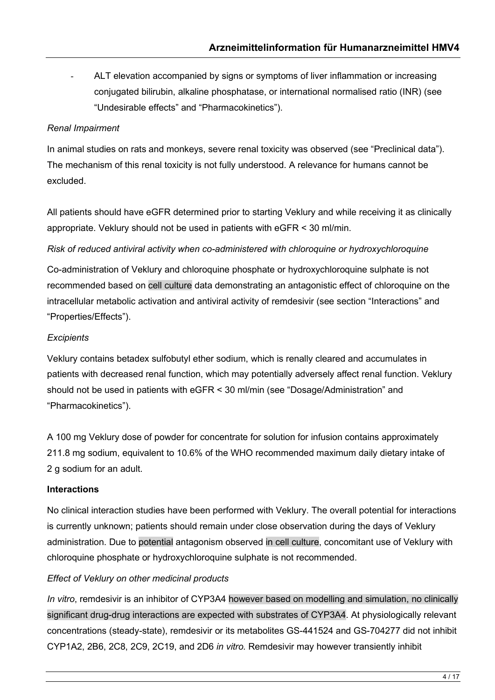ALT elevation accompanied by signs or symptoms of liver inflammation or increasing conjugated bilirubin, alkaline phosphatase, or international normalised ratio (INR) (see "Undesirable effects" and "Pharmacokinetics").

# *Renal Impairment*

In animal studies on rats and monkeys, severe renal toxicity was observed (see "Preclinical data"). The mechanism of this renal toxicity is not fully understood. A relevance for humans cannot be excluded.

All patients should have eGFR determined prior to starting Veklury and while receiving it as clinically appropriate. Veklury should not be used in patients with eGFR < 30 ml/min.

*Risk of reduced antiviral activity when co-administered with chloroquine or hydroxychloroquine* 

Co-administration of Veklury and chloroquine phosphate or hydroxychloroquine sulphate is not recommended based on cell culture data demonstrating an antagonistic effect of chloroquine on the intracellular metabolic activation and antiviral activity of remdesivir (see section "Interactions" and "Properties/Effects").

# *Excipients*

Veklury contains betadex sulfobutyl ether sodium, which is renally cleared and accumulates in patients with decreased renal function, which may potentially adversely affect renal function. Veklury should not be used in patients with eGFR < 30 ml/min (see "Dosage/Administration" and "Pharmacokinetics").

A 100 mg Veklury dose of powder for concentrate for solution for infusion contains approximately 211.8 mg sodium, equivalent to 10.6% of the WHO recommended maximum daily dietary intake of 2 g sodium for an adult.

# **Interactions**

No clinical interaction studies have been performed with Veklury. The overall potential for interactions is currently unknown; patients should remain under close observation during the days of Veklury administration. Due to potential antagonism observed in cell culture, concomitant use of Veklury with chloroquine phosphate or hydroxychloroquine sulphate is not recommended.

# *Effect of Veklury on other medicinal products*

*In vitro*, remdesivir is an inhibitor of CYP3A4 however based on modelling and simulation, no clinically significant drug-drug interactions are expected with substrates of CYP3A4. At physiologically relevant concentrations (steady-state), remdesivir or its metabolites GS-441524 and GS-704277 did not inhibit CYP1A2, 2B6, 2C8, 2C9, 2C19, and 2D6 *in vitro.* Remdesivir may however transiently inhibit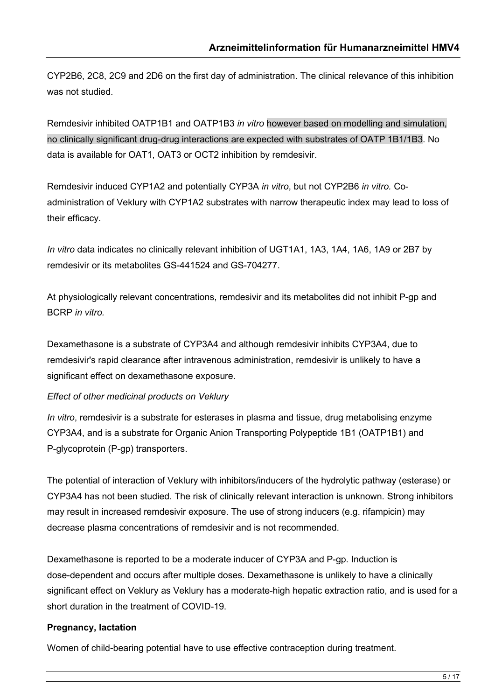CYP2B6, 2C8, 2C9 and 2D6 on the first day of administration. The clinical relevance of this inhibition was not studied.

Remdesivir inhibited OATP1B1 and OATP1B3 *in vitro* however based on modelling and simulation, no clinically significant drug-drug interactions are expected with substrates of OATP 1B1/1B3. No data is available for OAT1, OAT3 or OCT2 inhibition by remdesivir.

Remdesivir induced CYP1A2 and potentially CYP3A *in vitro*, but not CYP2B6 *in vitro.* Coadministration of Veklury with CYP1A2 substrates with narrow therapeutic index may lead to loss of their efficacy.

*In vitro* data indicates no clinically relevant inhibition of UGT1A1, 1A3, 1A4, 1A6, 1A9 or 2B7 by remdesivir or its metabolites GS-441524 and GS-704277.

At physiologically relevant concentrations, remdesivir and its metabolites did not inhibit P-gp and BCRP *in vitro.*

Dexamethasone is a substrate of CYP3A4 and although remdesivir inhibits CYP3A4, due to remdesivir's rapid clearance after intravenous administration, remdesivir is unlikely to have a significant effect on dexamethasone exposure.

*Effect of other medicinal products on Veklury*

*In vitro*, remdesivir is a substrate for esterases in plasma and tissue, drug metabolising enzyme CYP3A4, and is a substrate for Organic Anion Transporting Polypeptide 1B1 (OATP1B1) and P-glycoprotein (P-gp) transporters.

The potential of interaction of Veklury with inhibitors/inducers of the hydrolytic pathway (esterase) or CYP3A4 has not been studied. The risk of clinically relevant interaction is unknown. Strong inhibitors may result in increased remdesivir exposure. The use of strong inducers (e.g. rifampicin) may decrease plasma concentrations of remdesivir and is not recommended.

Dexamethasone is reported to be a moderate inducer of CYP3A and P-gp. Induction is dose-dependent and occurs after multiple doses. Dexamethasone is unlikely to have a clinically significant effect on Veklury as Veklury has a moderate-high hepatic extraction ratio, and is used for a short duration in the treatment of COVID-19.

## **Pregnancy, lactation**

Women of child-bearing potential have to use effective contraception during treatment.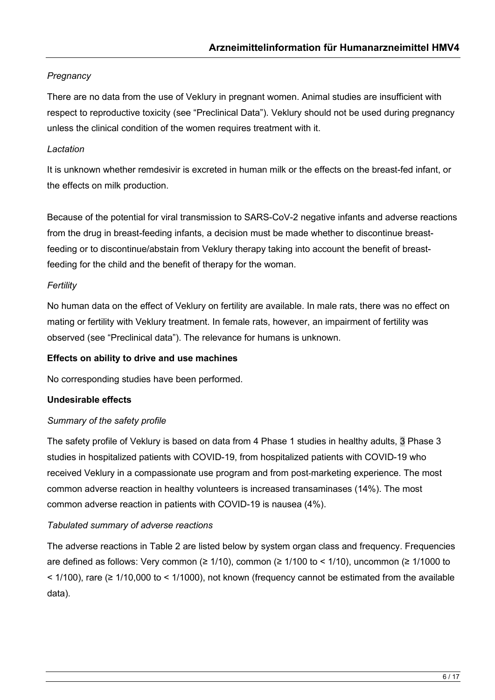# *Pregnancy*

There are no data from the use of Veklury in pregnant women. Animal studies are insufficient with respect to reproductive toxicity (see "Preclinical Data"). Veklury should not be used during pregnancy unless the clinical condition of the women requires treatment with it.

# *Lactation*

It is unknown whether remdesivir is excreted in human milk or the effects on the breast-fed infant, or the effects on milk production.

Because of the potential for viral transmission to SARS-CoV-2 negative infants and adverse reactions from the drug in breast-feeding infants, a decision must be made whether to discontinue breastfeeding or to discontinue/abstain from Veklury therapy taking into account the benefit of breastfeeding for the child and the benefit of therapy for the woman.

# *Fertility*

No human data on the effect of Veklury on fertility are available. In male rats, there was no effect on mating or fertility with Veklury treatment. In female rats, however, an impairment of fertility was observed (see "Preclinical data"). The relevance for humans is unknown.

## **Effects on ability to drive and use machines**

No corresponding studies have been performed.

# **Undesirable effects**

## *Summary of the safety profile*

The safety profile of Veklury is based on data from 4 Phase 1 studies in healthy adults, 3 Phase 3 studies in hospitalized patients with COVID-19, from hospitalized patients with COVID-19 who received Veklury in a compassionate use program and from post-marketing experience. The most common adverse reaction in healthy volunteers is increased transaminases (14%). The most common adverse reaction in patients with COVID-19 is nausea (4%).

## *Tabulated summary of adverse reactions*

The adverse reactions in Table 2 are listed below by system organ class and frequency. Frequencies are defined as follows: Very common ( $\geq 1/10$ ), common ( $\geq 1/100$  to < 1/10), uncommon ( $\geq 1/1000$  to  $\leq$  1/100), rare ( $\geq$  1/10,000 to  $\leq$  1/1000), not known (frequency cannot be estimated from the available data).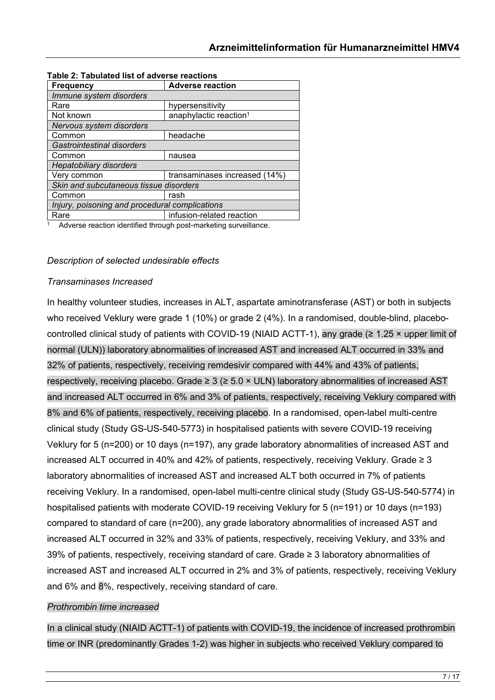| <b>Frequency</b>                               | <b>Adverse reaction</b>            |  |  |  |
|------------------------------------------------|------------------------------------|--|--|--|
| Immune system disorders                        |                                    |  |  |  |
| Rare                                           | hypersensitivity                   |  |  |  |
| Not known                                      | anaphylactic reaction <sup>1</sup> |  |  |  |
| Nervous system disorders                       |                                    |  |  |  |
| Common                                         | headache                           |  |  |  |
| Gastrointestinal disorders                     |                                    |  |  |  |
| Common                                         | nausea                             |  |  |  |
| <b>Hepatobiliary disorders</b>                 |                                    |  |  |  |
| Very common                                    | transaminases increased (14%)      |  |  |  |
| Skin and subcutaneous tissue disorders         |                                    |  |  |  |
| Common                                         | rash                               |  |  |  |
| Injury, poisoning and procedural complications |                                    |  |  |  |
| Rare                                           | infusion-related reaction          |  |  |  |

#### **Table 2: Tabulated list of adverse reactions**

<sup>1</sup> Adverse reaction identified through post-marketing surveillance.

#### *Description of selected undesirable effects*

#### *Transaminases Increased*

In healthy volunteer studies, increases in ALT, aspartate aminotransferase (AST) or both in subjects who received Veklury were grade 1 (10%) or grade 2 (4%). In a randomised, double-blind, placebocontrolled clinical study of patients with COVID-19 (NIAID ACTT-1), any grade ( $\geq 1.25 \times$  upper limit of normal (ULN)) laboratory abnormalities of increased AST and increased ALT occurred in 33% and 32% of patients, respectively, receiving remdesivir compared with 44% and 43% of patients, respectively, receiving placebo. Grade  $\geq 3$  ( $\geq 5.0 \times$  ULN) laboratory abnormalities of increased AST and increased ALT occurred in 6% and 3% of patients, respectively, receiving Veklury compared with 8% and 6% of patients, respectively, receiving placebo. In a randomised, open-label multi-centre clinical study (Study GS-US-540-5773) in hospitalised patients with severe COVID-19 receiving Veklury for 5 (n=200) or 10 days (n=197), any grade laboratory abnormalities of increased AST and increased ALT occurred in 40% and 42% of patients, respectively, receiving Veklury. Grade ≥ 3 laboratory abnormalities of increased AST and increased ALT both occurred in 7% of patients receiving Veklury. In a randomised, open-label multi-centre clinical study (Study GS-US-540-5774) in hospitalised patients with moderate COVID-19 receiving Veklury for 5 (n=191) or 10 days (n=193) compared to standard of care (n=200), any grade laboratory abnormalities of increased AST and increased ALT occurred in 32% and 33% of patients, respectively, receiving Veklury, and 33% and 39% of patients, respectively, receiving standard of care. Grade ≥ 3 laboratory abnormalities of increased AST and increased ALT occurred in 2% and 3% of patients, respectively, receiving Veklury and 6% and 8%, respectively, receiving standard of care.

#### *Prothrombin time increased*

In a clinical study (NIAID ACTT-1) of patients with COVID-19, the incidence of increased prothrombin time or INR (predominantly Grades 1-2) was higher in subjects who received Veklury compared to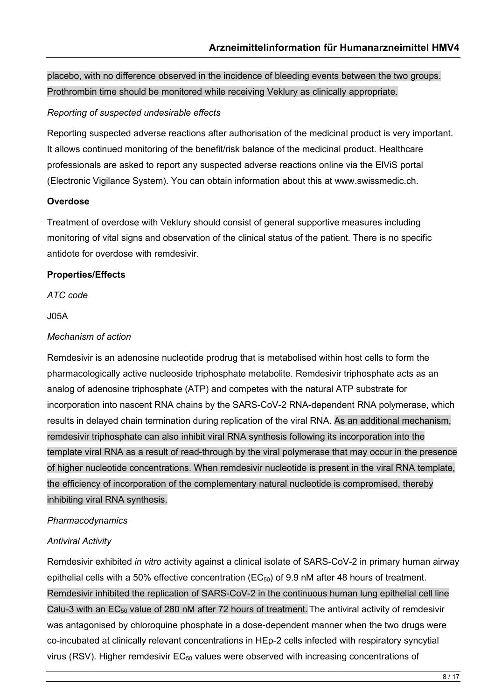placebo, with no difference observed in the incidence of bleeding events between the two groups. Prothrombin time should be monitored while receiving Veklury as clinically appropriate.

# *Reporting of suspected undesirable effects*

Reporting suspected adverse reactions after authorisation of the medicinal product is very important. It allows continued monitoring of the benefit/risk balance of the medicinal product. Healthcare professionals are asked to report any suspected adverse reactions online via the ElViS portal (Electronic Vigilance System). You can obtain information about this at www.swissmedic.ch.

## **Overdose**

Treatment of overdose with Veklury should consist of general supportive measures including monitoring of vital signs and observation of the clinical status of the patient. There is no specific antidote for overdose with remdesivir.

# **Properties/Effects**

*ATC code*

## J05A

## *Mechanism of action*

Remdesivir is an adenosine nucleotide prodrug that is metabolised within host cells to form the pharmacologically active nucleoside triphosphate metabolite. Remdesivir triphosphate acts as an analog of adenosine triphosphate (ATP) and competes with the natural ATP substrate for incorporation into nascent RNA chains by the SARS-CoV-2 RNA-dependent RNA polymerase, which results in delayed chain termination during replication of the viral RNA. As an additional mechanism, remdesivir triphosphate can also inhibit viral RNA synthesis following its incorporation into the template viral RNA as a result of read-through by the viral polymerase that may occur in the presence of higher nucleotide concentrations. When remdesivir nucleotide is present in the viral RNA template, the efficiency of incorporation of the complementary natural nucleotide is compromised, thereby inhibiting viral RNA synthesis.

# *Pharmacodynamics*

## *Antiviral Activity*

Remdesivir exhibited *in vitro* activity against a clinical isolate of SARS-CoV-2 in primary human airway epithelial cells with a 50% effective concentration ( $EC_{50}$ ) of 9.9 nM after 48 hours of treatment. Remdesivir inhibited the replication of SARS-CoV-2 in the continuous human lung epithelial cell line Calu-3 with an EC<sub>50</sub> value of 280 nM after 72 hours of treatment. The antiviral activity of remdesivir was antagonised by chloroquine phosphate in a dose-dependent manner when the two drugs were co-incubated at clinically relevant concentrations in HEp-2 cells infected with respiratory syncytial virus (RSV). Higher remdesivir EC<sub>50</sub> values were observed with increasing concentrations of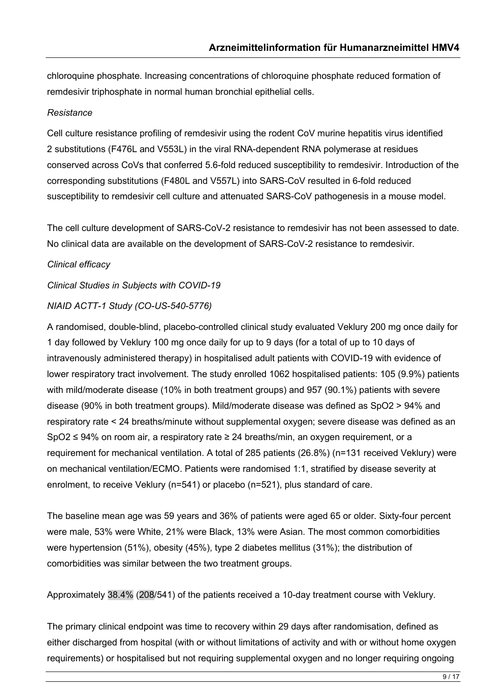chloroquine phosphate. Increasing concentrations of chloroquine phosphate reduced formation of remdesivir triphosphate in normal human bronchial epithelial cells.

# *Resistance*

Cell culture resistance profiling of remdesivir using the rodent CoV murine hepatitis virus identified 2 substitutions (F476L and V553L) in the viral RNA-dependent RNA polymerase at residues conserved across CoVs that conferred 5.6-fold reduced susceptibility to remdesivir. Introduction of the corresponding substitutions (F480L and V557L) into SARS-CoV resulted in 6-fold reduced susceptibility to remdesivir cell culture and attenuated SARS-CoV pathogenesis in a mouse model.

The cell culture development of SARS-CoV-2 resistance to remdesivir has not been assessed to date. No clinical data are available on the development of SARS-CoV-2 resistance to remdesivir.

# *Clinical efficacy*

*Clinical Studies in Subjects with COVID-19*

## *NIAID ACTT-1 Study (CO-US-540-5776)*

A randomised, double-blind, placebo-controlled clinical study evaluated Veklury 200 mg once daily for 1 day followed by Veklury 100 mg once daily for up to 9 days (for a total of up to 10 days of intravenously administered therapy) in hospitalised adult patients with COVID-19 with evidence of lower respiratory tract involvement. The study enrolled 1062 hospitalised patients: 105 (9.9%) patients with mild/moderate disease (10% in both treatment groups) and 957 (90.1%) patients with severe disease (90% in both treatment groups). Mild/moderate disease was defined as SpO2 > 94% and respiratory rate < 24 breaths/minute without supplemental oxygen; severe disease was defined as an SpO2 ≤ 94% on room air, a respiratory rate ≥ 24 breaths/min, an oxygen requirement, or a requirement for mechanical ventilation. A total of 285 patients (26.8%) (n=131 received Veklury) were on mechanical ventilation/ECMO. Patients were randomised 1:1, stratified by disease severity at enrolment, to receive Veklury (n=541) or placebo (n=521), plus standard of care.

The baseline mean age was 59 years and 36% of patients were aged 65 or older. Sixty-four percent were male, 53% were White, 21% were Black, 13% were Asian. The most common comorbidities were hypertension (51%), obesity (45%), type 2 diabetes mellitus (31%); the distribution of comorbidities was similar between the two treatment groups.

Approximately 38.4% (208/541) of the patients received a 10-day treatment course with Veklury.

The primary clinical endpoint was time to recovery within 29 days after randomisation, defined as either discharged from hospital (with or without limitations of activity and with or without home oxygen requirements) or hospitalised but not requiring supplemental oxygen and no longer requiring ongoing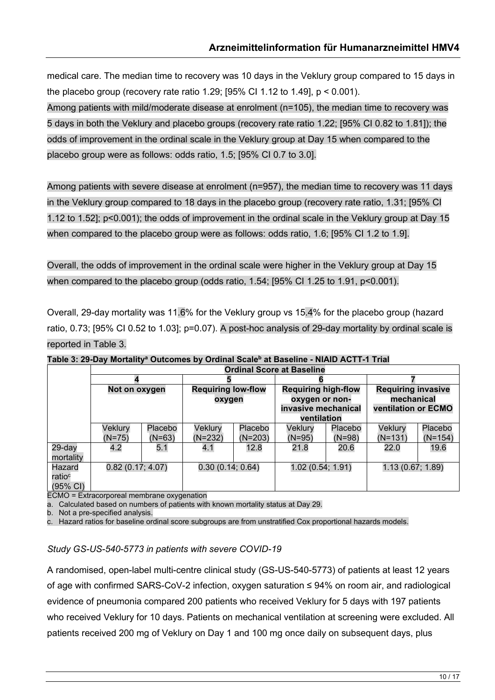medical care. The median time to recovery was 10 days in the Veklury group compared to 15 days in the placebo group (recovery rate ratio 1.29;  $[95\%$  CI 1.12 to 1.49],  $p < 0.001$ ).

Among patients with mild/moderate disease at enrolment (n=105), the median time to recovery was 5 days in both the Veklury and placebo groups (recovery rate ratio 1.22; [95% CI 0.82 to 1.81]); the odds of improvement in the ordinal scale in the Veklury group at Day 15 when compared to the placebo group were as follows: odds ratio, 1.5; [95% CI 0.7 to 3.0].

Among patients with severe disease at enrolment (n=957), the median time to recovery was 11 days in the Veklury group compared to 18 days in the placebo group (recovery rate ratio, 1.31; [95% CI 1.12 to 1.52]; p<0.001); the odds of improvement in the ordinal scale in the Veklury group at Day 15 when compared to the placebo group were as follows: odds ratio, 1.6; [95% CI 1.2 to 1.9].

Overall, the odds of improvement in the ordinal scale were higher in the Veklury group at Day 15 when compared to the placebo group (odds ratio, 1.54; [95% CI 1.25 to 1.91, p<0.001).

Overall, 29-day mortality was 11.6% for the Veklury group vs 15.4% for the placebo group (hazard ratio, 0.73; [95% CI 0.52 to 1.03]; p=0.07). A post-hoc analysis of 29-day mortality by ordinal scale is reported in Table 3.

|                                                    | <b>Ordinal Score at Baseline</b> |                     |                                     |                      |                                                                                    |                     |                                                                |                      |
|----------------------------------------------------|----------------------------------|---------------------|-------------------------------------|----------------------|------------------------------------------------------------------------------------|---------------------|----------------------------------------------------------------|----------------------|
|                                                    |                                  |                     |                                     |                      |                                                                                    |                     |                                                                |                      |
|                                                    | Not on oxygen                    |                     | <b>Requiring low-flow</b><br>oxygen |                      | <b>Requiring high-flow</b><br>oxygen or non-<br>invasive mechanical<br>ventilation |                     | <b>Requiring invasive</b><br>mechanical<br>ventilation or ECMO |                      |
|                                                    | Veklury<br>$(N=75)$              | Placebo<br>$(N=63)$ | Veklury<br>$(N=232)$                | Placebo<br>$(N=203)$ | Veklury<br>$(N=95)$                                                                | Placebo<br>$(N=98)$ | Veklury<br>$(N=131)$                                           | Placebo<br>$(N=154)$ |
| 29-day<br>mortality                                | 4.2                              | 5.1                 | 4.1                                 | 12.8                 | 21.8                                                                               | 20.6                | 22.0                                                           | 19.6                 |
| Hazard<br>ratio <sup>c</sup><br>$(95% \text{ Cl})$ | 0.82(0.17; 4.07)                 |                     | 0.30(0.14; 0.64)                    |                      | 1.02 (0.54; 1.91)                                                                  |                     | 1.13 (0.67; 1.89)                                              |                      |

**Table 3: 29-Day Mortalitya Outcomes by Ordinal Scaleb at Baseline - NIAID ACTT-1 Trial** 

ECMO = Extracorporeal membrane oxygenation

a. Calculated based on numbers of patients with known mortality status at Day 29.

b. Not a pre-specified analysis.

c. Hazard ratios for baseline ordinal score subgroups are from unstratified Cox proportional hazards models.

#### *Study GS-US-540-5773 in patients with severe COVID-19*

A randomised, open-label multi-centre clinical study (GS-US-540-5773) of patients at least 12 years of age with confirmed SARS-CoV-2 infection, oxygen saturation ≤ 94% on room air, and radiological evidence of pneumonia compared 200 patients who received Veklury for 5 days with 197 patients who received Veklury for 10 days. Patients on mechanical ventilation at screening were excluded. All patients received 200 mg of Veklury on Day 1 and 100 mg once daily on subsequent days, plus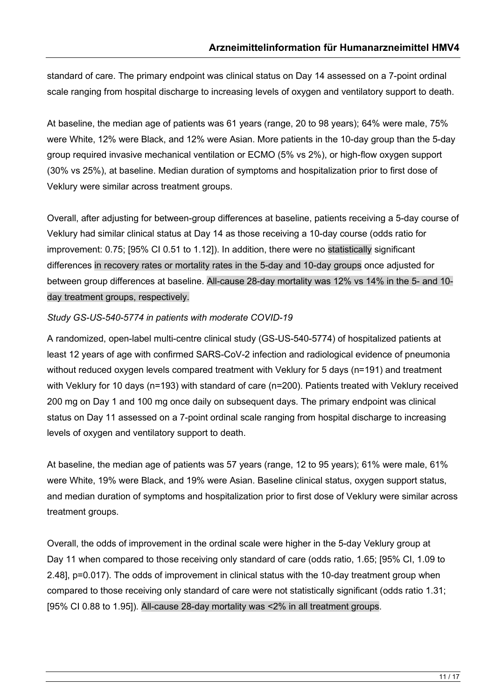standard of care. The primary endpoint was clinical status on Day 14 assessed on a 7-point ordinal scale ranging from hospital discharge to increasing levels of oxygen and ventilatory support to death.

At baseline, the median age of patients was 61 years (range, 20 to 98 years); 64% were male, 75% were White, 12% were Black, and 12% were Asian. More patients in the 10-day group than the 5-day group required invasive mechanical ventilation or ECMO (5% vs 2%), or high-flow oxygen support (30% vs 25%), at baseline. Median duration of symptoms and hospitalization prior to first dose of Veklury were similar across treatment groups.

Overall, after adjusting for between-group differences at baseline, patients receiving a 5-day course of Veklury had similar clinical status at Day 14 as those receiving a 10-day course (odds ratio for improvement: 0.75; [95% CI 0.51 to 1.12]). In addition, there were no statistically significant differences in recovery rates or mortality rates in the 5-day and 10-day groups once adjusted for between group differences at baseline. All-cause 28-day mortality was 12% vs 14% in the 5- and 10 day treatment groups, respectively.

#### *Study GS-US-540-5774 in patients with moderate COVID-19*

A randomized, open-label multi-centre clinical study (GS-US-540-5774) of hospitalized patients at least 12 years of age with confirmed SARS-CoV-2 infection and radiological evidence of pneumonia without reduced oxygen levels compared treatment with Veklury for 5 days (n=191) and treatment with Veklury for 10 days (n=193) with standard of care (n=200). Patients treated with Veklury received 200 mg on Day 1 and 100 mg once daily on subsequent days. The primary endpoint was clinical status on Day 11 assessed on a 7-point ordinal scale ranging from hospital discharge to increasing levels of oxygen and ventilatory support to death.

At baseline, the median age of patients was 57 years (range, 12 to 95 years); 61% were male, 61% were White, 19% were Black, and 19% were Asian. Baseline clinical status, oxygen support status, and median duration of symptoms and hospitalization prior to first dose of Veklury were similar across treatment groups.

Overall, the odds of improvement in the ordinal scale were higher in the 5-day Veklury group at Day 11 when compared to those receiving only standard of care (odds ratio, 1.65; [95% CI, 1.09 to 2.48], p=0.017). The odds of improvement in clinical status with the 10-day treatment group when compared to those receiving only standard of care were not statistically significant (odds ratio 1.31; [95% CI 0.88 to 1.95]). All-cause 28-day mortality was <2% in all treatment groups.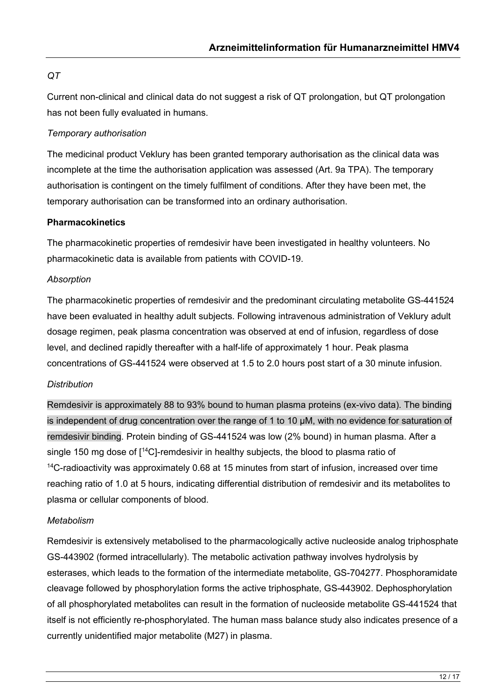# *QT*

Current non-clinical and clinical data do not suggest a risk of QT prolongation, but QT prolongation has not been fully evaluated in humans.

### *Temporary authorisation*

The medicinal product Veklury has been granted temporary authorisation as the clinical data was incomplete at the time the authorisation application was assessed (Art. 9a TPA). The temporary authorisation is contingent on the timely fulfilment of conditions. After they have been met, the temporary authorisation can be transformed into an ordinary authorisation.

#### **Pharmacokinetics**

The pharmacokinetic properties of remdesivir have been investigated in healthy volunteers. No pharmacokinetic data is available from patients with COVID-19.

#### *Absorption*

The pharmacokinetic properties of remdesivir and the predominant circulating metabolite GS-441524 have been evaluated in healthy adult subjects. Following intravenous administration of Veklury adult dosage regimen, peak plasma concentration was observed at end of infusion, regardless of dose level, and declined rapidly thereafter with a half-life of approximately 1 hour. Peak plasma concentrations of GS-441524 were observed at 1.5 to 2.0 hours post start of a 30 minute infusion.

#### *Distribution*

Remdesivir is approximately 88 to 93% bound to human plasma proteins (ex-vivo data). The binding is independent of drug concentration over the range of 1 to 10 μM, with no evidence for saturation of remdesivir binding. Protein binding of GS-441524 was low (2% bound) in human plasma. After a single 150 mg dose of  $[14C]$ -remdesivir in healthy subjects, the blood to plasma ratio of <sup>14</sup>C-radioactivity was approximately 0.68 at 15 minutes from start of infusion, increased over time reaching ratio of 1.0 at 5 hours, indicating differential distribution of remdesivir and its metabolites to plasma or cellular components of blood.

## *Metabolism*

Remdesivir is extensively metabolised to the pharmacologically active nucleoside analog triphosphate GS-443902 (formed intracellularly). The metabolic activation pathway involves hydrolysis by esterases, which leads to the formation of the intermediate metabolite, GS-704277. Phosphoramidate cleavage followed by phosphorylation forms the active triphosphate, GS-443902. Dephosphorylation of all phosphorylated metabolites can result in the formation of nucleoside metabolite GS-441524 that itself is not efficiently re-phosphorylated. The human mass balance study also indicates presence of a currently unidentified major metabolite (M27) in plasma.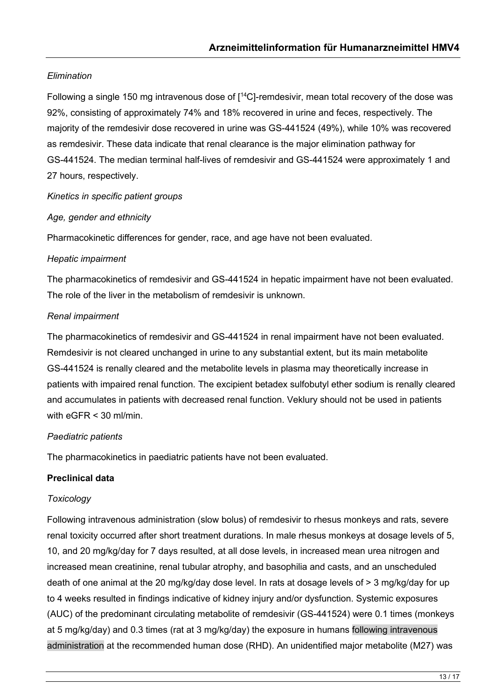# *Elimination*

Following a single 150 mg intravenous dose of [<sup>14</sup>C]-remdesivir, mean total recovery of the dose was 92%, consisting of approximately 74% and 18% recovered in urine and feces, respectively. The majority of the remdesivir dose recovered in urine was GS-441524 (49%), while 10% was recovered as remdesivir. These data indicate that renal clearance is the major elimination pathway for GS-441524. The median terminal half-lives of remdesivir and GS-441524 were approximately 1 and 27 hours, respectively.

## *Kinetics in specific patient groups*

# *Age, gender and ethnicity*

Pharmacokinetic differences for gender, race, and age have not been evaluated.

# *Hepatic impairment*

The pharmacokinetics of remdesivir and GS-441524 in hepatic impairment have not been evaluated. The role of the liver in the metabolism of remdesivir is unknown.

# *Renal impairment*

The pharmacokinetics of remdesivir and GS-441524 in renal impairment have not been evaluated. Remdesivir is not cleared unchanged in urine to any substantial extent, but its main metabolite GS-441524 is renally cleared and the metabolite levels in plasma may theoretically increase in patients with impaired renal function. The excipient betadex sulfobutyl ether sodium is renally cleared and accumulates in patients with decreased renal function. Veklury should not be used in patients with  $e$ GFR  $\leq$  30 ml/min.

## *Paediatric patients*

The pharmacokinetics in paediatric patients have not been evaluated.

# **Preclinical data**

## *Toxicology*

Following intravenous administration (slow bolus) of remdesivir to rhesus monkeys and rats, severe renal toxicity occurred after short treatment durations. In male rhesus monkeys at dosage levels of 5, 10, and 20 mg/kg/day for 7 days resulted, at all dose levels, in increased mean urea nitrogen and increased mean creatinine, renal tubular atrophy, and basophilia and casts, and an unscheduled death of one animal at the 20 mg/kg/day dose level. In rats at dosage levels of > 3 mg/kg/day for up to 4 weeks resulted in findings indicative of kidney injury and/or dysfunction. Systemic exposures (AUC) of the predominant circulating metabolite of remdesivir (GS-441524) were 0.1 times (monkeys at 5 mg/kg/day) and 0.3 times (rat at 3 mg/kg/day) the exposure in humans following intravenous administration at the recommended human dose (RHD). An unidentified major metabolite (M27) was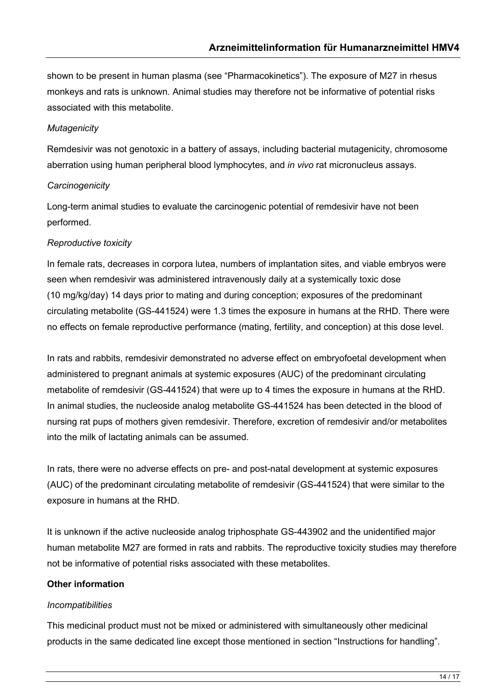shown to be present in human plasma (see "Pharmacokinetics"). The exposure of M27 in rhesus monkeys and rats is unknown. Animal studies may therefore not be informative of potential risks associated with this metabolite.

# *Mutagenicity*

Remdesivir was not genotoxic in a battery of assays, including bacterial mutagenicity, chromosome aberration using human peripheral blood lymphocytes, and *in vivo* rat micronucleus assays.

# *Carcinogenicity*

Long-term animal studies to evaluate the carcinogenic potential of remdesivir have not been performed.

# *Reproductive toxicity*

In female rats, decreases in corpora lutea, numbers of implantation sites, and viable embryos were seen when remdesivir was administered intravenously daily at a systemically toxic dose (10 mg/kg/day) 14 days prior to mating and during conception; exposures of the predominant circulating metabolite (GS-441524) were 1.3 times the exposure in humans at the RHD. There were no effects on female reproductive performance (mating, fertility, and conception) at this dose level.

In rats and rabbits, remdesivir demonstrated no adverse effect on embryofoetal development when administered to pregnant animals at systemic exposures (AUC) of the predominant circulating metabolite of remdesivir (GS-441524) that were up to 4 times the exposure in humans at the RHD. In animal studies, the nucleoside analog metabolite GS-441524 has been detected in the blood of nursing rat pups of mothers given remdesivir. Therefore, excretion of remdesivir and/or metabolites into the milk of lactating animals can be assumed.

In rats, there were no adverse effects on pre- and post-natal development at systemic exposures (AUC) of the predominant circulating metabolite of remdesivir (GS-441524) that were similar to the exposure in humans at the RHD.

It is unknown if the active nucleoside analog triphosphate GS-443902 and the unidentified major human metabolite M27 are formed in rats and rabbits. The reproductive toxicity studies may therefore not be informative of potential risks associated with these metabolites.

# **Other information**

## *Incompatibilities*

This medicinal product must not be mixed or administered with simultaneously other medicinal products in the same dedicated line except those mentioned in section "Instructions for handling".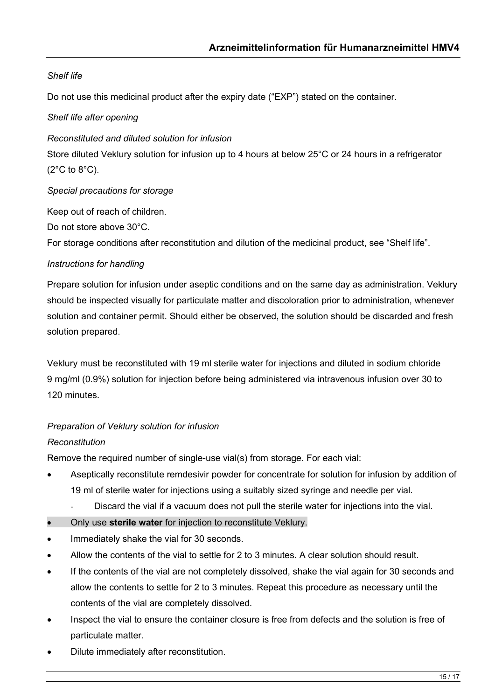# *Shelf life*

Do not use this medicinal product after the expiry date ("EXP") stated on the container.

### *Shelf life after opening*

*Reconstituted and diluted solution for infusion*

Store diluted Veklury solution for infusion up to 4 hours at below 25°C or 24 hours in a refrigerator  $(2^{\circ}C \text{ to } 8^{\circ}C).$ 

*Special precautions for storage*

Keep out of reach of children.

Do not store above 30°C.

For storage conditions after reconstitution and dilution of the medicinal product, see "Shelf life".

#### *Instructions for handling*

Prepare solution for infusion under aseptic conditions and on the same day as administration. Veklury should be inspected visually for particulate matter and discoloration prior to administration, whenever solution and container permit. Should either be observed, the solution should be discarded and fresh solution prepared.

Veklury must be reconstituted with 19 ml sterile water for injections and diluted in sodium chloride 9 mg/ml (0.9%) solution for injection before being administered via intravenous infusion over 30 to 120 minutes.

## *Preparation of Veklury solution for infusion*

## *Reconstitution*

Remove the required number of single-use vial(s) from storage. For each vial:

- Aseptically reconstitute remdesivir powder for concentrate for solution for infusion by addition of 19 ml of sterile water for injections using a suitably sized syringe and needle per vial.
	- Discard the vial if a vacuum does not pull the sterile water for injections into the vial.
- Only use **sterile water** for injection to reconstitute Veklury.
- Immediately shake the vial for 30 seconds.
- Allow the contents of the vial to settle for 2 to 3 minutes. A clear solution should result.
- If the contents of the vial are not completely dissolved, shake the vial again for 30 seconds and allow the contents to settle for 2 to 3 minutes. Repeat this procedure as necessary until the contents of the vial are completely dissolved.
- Inspect the vial to ensure the container closure is free from defects and the solution is free of particulate matter.
- Dilute immediately after reconstitution.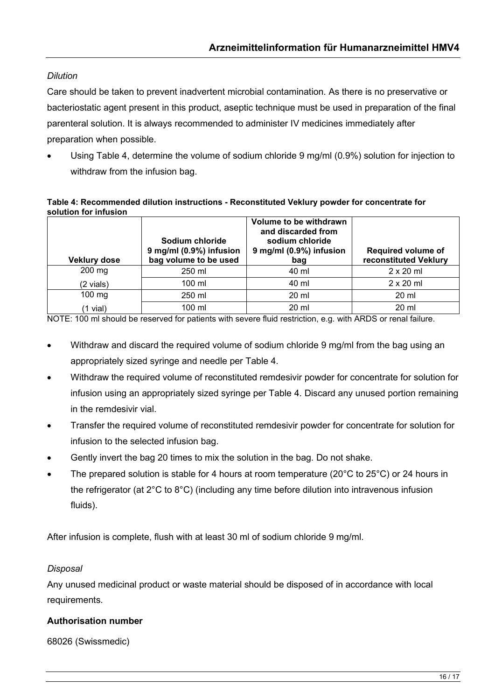# *Dilution*

Care should be taken to prevent inadvertent microbial contamination. As there is no preservative or bacteriostatic agent present in this product, aseptic technique must be used in preparation of the final parenteral solution. It is always recommended to administer IV medicines immediately after preparation when possible.

• Using Table 4, determine the volume of sodium chloride 9 mg/ml (0.9%) solution for injection to withdraw from the infusion bag.

#### **Table 4: Recommended dilution instructions - Reconstituted Veklury powder for concentrate for solution for infusion**

| <b>Veklury dose</b> | Sodium chloride<br>9 mg/ml (0.9%) infusion<br>bag volume to be used | Volume to be withdrawn<br>and discarded from<br>sodium chloride<br>9 mg/ml (0.9%) infusion<br>bag | <b>Required volume of</b><br>reconstituted Veklury |
|---------------------|---------------------------------------------------------------------|---------------------------------------------------------------------------------------------------|----------------------------------------------------|
| $200$ mg            | 250 ml                                                              | 40 ml                                                                                             | $2 \times 20$ ml                                   |
| (2 vials)           | $100 \mathrm{m}$                                                    | 40 ml                                                                                             | $2 \times 20$ ml                                   |
| $100$ mg            | 250 ml                                                              | 20 ml                                                                                             | $20 \mathrm{ml}$                                   |
| $(1$ vial)          | 100 ml                                                              | 20 ml                                                                                             | 20 ml                                              |

NOTE: 100 ml should be reserved for patients with severe fluid restriction, e.g. with ARDS or renal failure.

- Withdraw and discard the required volume of sodium chloride 9 mg/ml from the bag using an appropriately sized syringe and needle per Table 4.
- Withdraw the required volume of reconstituted remdesivir powder for concentrate for solution for infusion using an appropriately sized syringe per Table 4. Discard any unused portion remaining in the remdesivir vial.
- Transfer the required volume of reconstituted remdesivir powder for concentrate for solution for infusion to the selected infusion bag.
- Gently invert the bag 20 times to mix the solution in the bag. Do not shake.
- The prepared solution is stable for 4 hours at room temperature (20 $^{\circ}$ C to 25 $^{\circ}$ C) or 24 hours in the refrigerator (at 2°C to 8°C) (including any time before dilution into intravenous infusion fluids).

After infusion is complete, flush with at least 30 ml of sodium chloride 9 mg/ml.

## *Disposal*

Any unused medicinal product or waste material should be disposed of in accordance with local requirements.

## **Authorisation number**

68026 (Swissmedic)